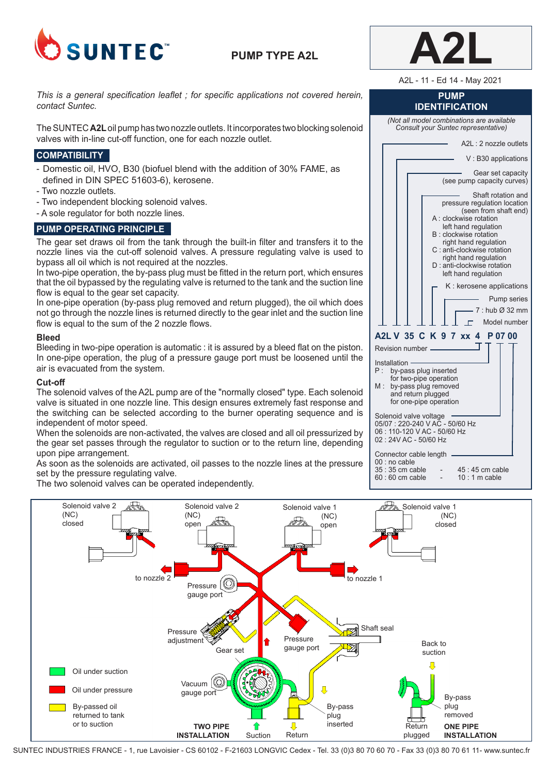

# **PUMP TYPE A2L**



A2L - 11 - Ed 14 - May 2021

### **PUMP IDENTIFICATION**

*(Not all model combinations are available Consult your Suntec representative)*

The SUNTEC **A2L** oil pump has two nozzle outlets. It incorporates two blocking solenoid valves with in-line cut-off function, one for each nozzle outlet.

### **COMPATIBILITY**

*contact Suntec.*

- Domestic oil, HVO, B30 (biofuel blend with the addition of 30% FAME, as defined in DIN SPEC 51603-6), kerosene.

*This is a general specification leaflet ; for specific applications not covered herein,* 

- Two nozzle outlets.
- Two independent blocking solenoid valves.
- A sole regulator for both nozzle lines.

## **PUMP OPERATING PRINCIPLE**

The gear set draws oil from the tank through the built-in filter and transfers it to the nozzle lines via the cut-off solenoid valves. A pressure regulating valve is used to bypass all oil which is not required at the nozzles.

In two-pipe operation, the by-pass plug must be fitted in the return port, which ensures that the oil bypassed by the regulating valve is returned to the tank and the suction line flow is equal to the gear set capacity.

In one-pipe operation (by-pass plug removed and return plugged), the oil which does not go through the nozzle lines is returned directly to the gear inlet and the suction line flow is equal to the sum of the 2 nozzle flows.

### **Bleed**

Bleeding in two-pipe operation is automatic : it is assured by a bleed flat on the piston. In one-pipe operation, the plug of a pressure gauge port must be loosened until the air is evacuated from the system.

### **Cut-off**

The solenoid valves of the A2L pump are of the "normally closed" type. Each solenoid valve is situated in one nozzle line. This design ensures extremely fast response and the switching can be selected according to the burner operating sequence and is independent of motor speed.

When the solenoids are non-activated, the valves are closed and all oil pressurized by the gear set passes through the regulator to suction or to the return line, depending upon pipe arrangement.

As soon as the solenoids are activated, oil passes to the nozzle lines at the pressure set by the pressure regulating valve.

The two solenoid valves can be operated independently.

| A2L: 2 nozzle outlets                                                                                                                                                                                                                                                                          |
|------------------------------------------------------------------------------------------------------------------------------------------------------------------------------------------------------------------------------------------------------------------------------------------------|
| V: B30 applications                                                                                                                                                                                                                                                                            |
| Gear set capacity<br>(see pump capacity curves)                                                                                                                                                                                                                                                |
| Shaft rotation and<br>pressure regulation location<br>(seen from shaft end)<br>A : clockwise rotation<br>left hand regulation<br>B: clockwise rotation<br>right hand regulation<br>C : anti-clockwise rotation<br>right hand regulation<br>D : anti-clockwise rotation<br>left hand regulation |
| K : kerosene applications                                                                                                                                                                                                                                                                      |
| <b>Pump series</b>                                                                                                                                                                                                                                                                             |
| $-7:$ hub $\varnothing$ 32 mm                                                                                                                                                                                                                                                                  |
| $\Box$<br>Model number                                                                                                                                                                                                                                                                         |
| A2L V 35 C K 9 7 xx 4 P 07 00                                                                                                                                                                                                                                                                  |
| Revision number ______                                                                                                                                                                                                                                                                         |
| Installation –––––––<br>P :<br>by-pass plug inserted<br>for two-pipe operation<br>by-pass plug removed<br>M:<br>and return plugged<br>for one-pipe operation                                                                                                                                   |
| Solenoid valve voltage<br>05/07: 220-240 V AC - 50/60 Hz<br>06: 110-120 V AC - 50/60 Hz<br>02 : 24V AC - 50/60 Hz                                                                                                                                                                              |
| Connector cable length<br>00 : no cable<br>35 : 35 cm cable<br>45 : 45 cm cable<br>$10:1$ m cable<br>60 : 60 cm cable                                                                                                                                                                          |



SUNTEC INDUSTRIES FRANCE - 1, rue Lavoisier - CS 60102 - F-21603 LONGVIC Cedex - Tel. 33 (0)3 80 70 60 70 - Fax 33 (0)3 80 70 61 11- www.suntec.fr